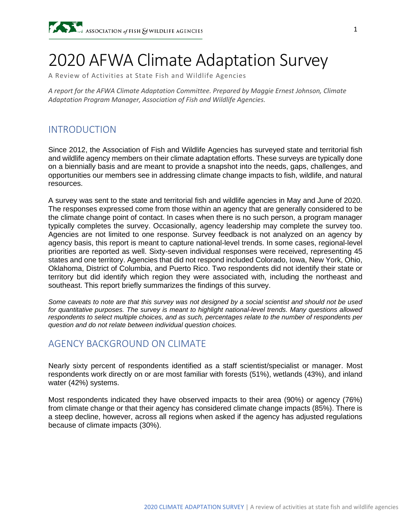# 2020 AFWA Climate Adaptation Survey

A Review of Activities at State Fish and Wildlife Agencies

*A report for the AFWA Climate Adaptation Committee. Prepared by Maggie Ernest Johnson, Climate Adaptation Program Manager, Association of Fish and Wildlife Agencies.*

## INTRODUCTION

Since 2012, the Association of Fish and Wildlife Agencies has surveyed state and territorial fish and wildlife agency members on their climate adaptation efforts. These surveys are typically done on a biennially basis and are meant to provide a snapshot into the needs, gaps, challenges, and opportunities our members see in addressing climate change impacts to fish, wildlife, and natural resources.

A survey was sent to the state and territorial fish and wildlife agencies in May and June of 2020. The responses expressed come from those within an agency that are generally considered to be the climate change point of contact. In cases when there is no such person, a program manager typically completes the survey. Occasionally, agency leadership may complete the survey too. Agencies are not limited to one response. Survey feedback is not analyzed on an agency by agency basis, this report is meant to capture national-level trends. In some cases, regional-level priorities are reported as well. Sixty-seven individual responses were received, representing 45 states and one territory. Agencies that did not respond included [Colorado,](https://state.1keydata.com/colorado.php) [Iowa,](https://state.1keydata.com/iowa.php) [New York,](https://state.1keydata.com/new-york.php) [Ohio,](https://state.1keydata.com/ohio.php) [Oklahoma,](https://state.1keydata.com/oklahoma.php) District of Columbia, and Puerto Rico. Two respondents did not identify their state or territory but did identify which region they were associated with, including the northeast and southeast. This report briefly summarizes the findings of this survey.

*Some caveats to note are that this survey was not designed by a social scientist and should not be used for quantitative purposes. The survey is meant to highlight national-level trends. Many questions allowed respondents to select multiple choices, and as such, percentages relate to the number of respondents per question and do not relate between individual question choices.*

#### AGENCY BACKGROUND ON CLIMATE

Nearly sixty percent of respondents identified as a staff scientist/specialist or manager. Most respondents work directly on or are most familiar with forests (51%), wetlands (43%), and inland water (42%) systems.

Most respondents indicated they have observed impacts to their area (90%) or agency (76%) from climate change or that their agency has considered climate change impacts (85%). There is a steep decline, however, across all regions when asked if the agency has adjusted regulations because of climate impacts (30%).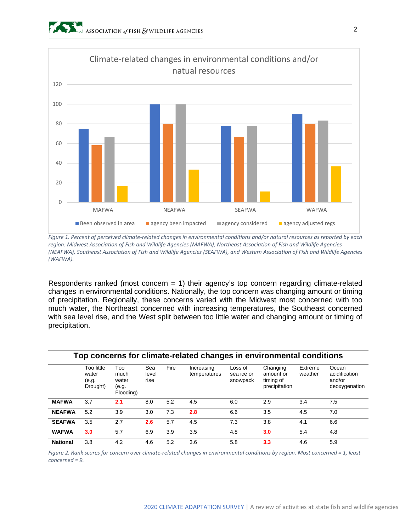

*Figure 1. Percent of perceived climate-related changes in environmental conditions and/or natural resources as reported by each region: Midwest Association of Fish and Wildlife Agencies (MAFWA), Northeast Association of Fish and Wildlife Agencies (NEAFWA), Southeast Association of Fish and Wildlife Agencies (SEAFWA), and Western Association of Fish and Wildlife Agencies (WAFWA).*

Respondents ranked (most concern  $= 1$ ) their agency's top concern regarding climate-related changes in environmental conditions. Nationally, the top concern was changing amount or timing of precipitation. Regionally, these concerns varied with the Midwest most concerned with too much water, the Northeast concerned with increasing temperatures, the Southeast concerned with sea level rise, and the West split between too little water and changing amount or timing of precipitation.

|                 |                                          |                                            |                      |      | Top concerns for climate-related changes in environmental conditions |                                   |                                                     |                    |                                                   |
|-----------------|------------------------------------------|--------------------------------------------|----------------------|------|----------------------------------------------------------------------|-----------------------------------|-----------------------------------------------------|--------------------|---------------------------------------------------|
|                 | Too little<br>water<br>(e.g.<br>Drought) | Too<br>much<br>water<br>(e.g.<br>Flooding) | Sea<br>level<br>rise | Fire | Increasing<br>temperatures                                           | Loss of<br>sea ice or<br>snowpack | Changing<br>amount or<br>timing of<br>precipitation | Extreme<br>weather | Ocean<br>acidification<br>and/or<br>deoxygenation |
| <b>MAFWA</b>    | 3.7                                      | 2.1                                        | 8.0                  | 5.2  | 4.5                                                                  | 6.0                               | 2.9                                                 | 3.4                | 7.5                                               |
| <b>NEAFWA</b>   | 5.2                                      | 3.9                                        | 3.0                  | 7.3  | 2.8                                                                  | 6.6                               | 3.5                                                 | 4.5                | 7.0                                               |
| <b>SEAFWA</b>   | 3.5                                      | 2.7                                        | 2.6                  | 5.7  | 4.5                                                                  | 7.3                               | 3.8                                                 | 4.1                | 6.6                                               |
| <b>WAFWA</b>    | 3.0                                      | 5.7                                        | 6.9                  | 3.9  | 3.5                                                                  | 4.8                               | 3.0                                                 | 5.4                | 4.8                                               |
| <b>National</b> | 3.8                                      | 4.2                                        | 4.6                  | 5.2  | 3.6                                                                  | 5.8                               | 3.3                                                 | 4.6                | 5.9                                               |

*Figure 2. Rank scores for concern over climate-related changes in environmental conditions by region. Most concerned = 1, least concerned = 9.*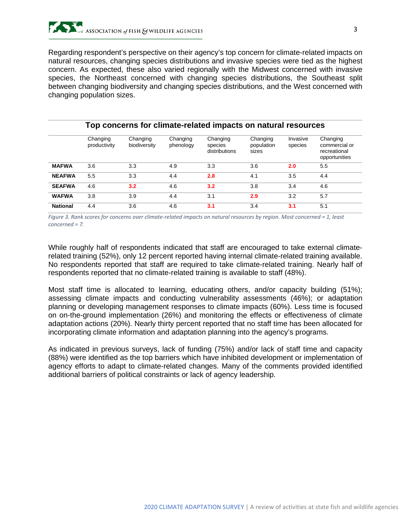Regarding respondent's perspective on their agency's top concern for climate-related impacts on natural resources, changing species distributions and invasive species were tied as the highest concern. As expected, these also varied regionally with the Midwest concerned with invasive species, the Northeast concerned with changing species distributions, the Southeast split between changing biodiversity and changing species distributions, and the West concerned with changing population sizes.

|                 | Top concerns for climate-related impacts on natural resources |                          |                       |                                      |                                 |                     |                                                            |  |  |  |  |
|-----------------|---------------------------------------------------------------|--------------------------|-----------------------|--------------------------------------|---------------------------------|---------------------|------------------------------------------------------------|--|--|--|--|
|                 | Changing<br>productivity                                      | Changing<br>biodiversity | Changing<br>phenology | Changing<br>species<br>distributions | Changing<br>population<br>sizes | Invasive<br>species | Changing<br>commercial or<br>recreational<br>opportunities |  |  |  |  |
| <b>MAFWA</b>    | 3.6                                                           | 3.3                      | 4.9                   | 3.3                                  | 3.6                             | 2.0                 | 5.5                                                        |  |  |  |  |
| <b>NEAFWA</b>   | 5.5                                                           | 3.3                      | 4.4                   | 2.8                                  | 4.1                             | 3.5                 | 4.4                                                        |  |  |  |  |
| <b>SEAFWA</b>   | 4.6                                                           | 3.2                      | 4.6                   | 3.2                                  | 3.8                             | 3.4                 | 4.6                                                        |  |  |  |  |
| <b>WAFWA</b>    | 3.8                                                           | 3.9                      | 4.4                   | 3.1                                  | 2.9                             | 3.2                 | 5.7                                                        |  |  |  |  |
| <b>National</b> | 4.4                                                           | 3.6                      | 4.6                   | 3.1                                  | 3.4                             | 3.1                 | 5.1                                                        |  |  |  |  |

*Figure 3. Rank scores for concerns over climate-related impacts on natural resources by region. Most concerned = 1, least concerned = 7.*

While roughly half of respondents indicated that staff are encouraged to take external climaterelated training (52%), only 12 percent reported having internal climate-related training available. No respondents reported that staff are required to take climate-related training. Nearly half of respondents reported that no climate-related training is available to staff (48%).

Most staff time is allocated to learning, educating others, and/or capacity building (51%); assessing climate impacts and conducting vulnerability assessments (46%); or adaptation planning or developing management responses to climate impacts (60%). Less time is focused on on-the-ground implementation (26%) and monitoring the effects or effectiveness of climate adaptation actions (20%). Nearly thirty percent reported that no staff time has been allocated for incorporating climate information and adaptation planning into the agency's programs.

As indicated in previous surveys, lack of funding (75%) and/or lack of staff time and capacity (88%) were identified as the top barriers which have inhibited development or implementation of agency efforts to adapt to climate-related changes. Many of the comments provided identified additional barriers of political constraints or lack of agency leadership.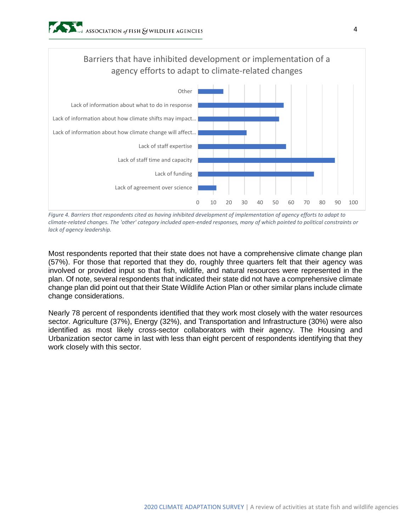

*Figure 4. Barriers that respondents cited as having inhibited development of implementation of agency efforts to adapt to climate-related changes. The 'other' category included open-ended responses, many of which pointed to political constraints or lack of agency leadership.*

Most respondents reported that their state does not have a comprehensive climate change plan (57%). For those that reported that they do, roughly three quarters felt that their agency was involved or provided input so that fish, wildlife, and natural resources were represented in the plan. Of note, several respondents that indicated their state did not have a comprehensive climate change plan did point out that their State Wildlife Action Plan or other similar plans include climate change considerations.

Nearly 78 percent of respondents identified that they work most closely with the water resources sector. Agriculture (37%), Energy (32%), and Transportation and Infrastructure (30%) were also identified as most likely cross-sector collaborators with their agency. The Housing and Urbanization sector came in last with less than eight percent of respondents identifying that they work closely with this sector.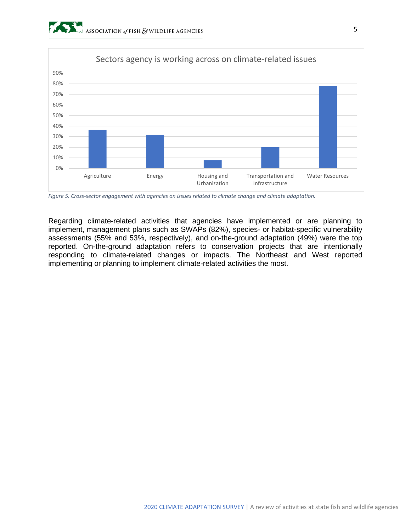

*Figure 5. Cross-sector engagement with agencies on issues related to climate change and climate adaptation.*

Regarding climate-related activities that agencies have implemented or are planning to implement, management plans such as SWAPs (82%), species- or habitat-specific vulnerability assessments (55% and 53%, respectively), and on-the-ground adaptation (49%) were the top reported. On-the-ground adaptation refers to conservation projects that are intentionally responding to climate-related changes or impacts. The Northeast and West reported implementing or planning to implement climate-related activities the most.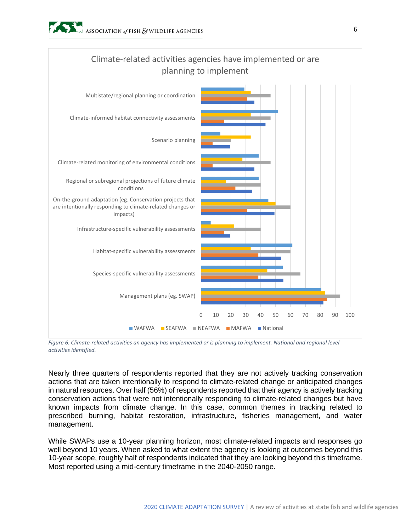

*Figure 6. Climate-related activities an agency has implemented or is planning to implement. National and regional level activities identified.*

Nearly three quarters of respondents reported that they are not actively tracking conservation actions that are taken intentionally to respond to climate-related change or anticipated changes in natural resources. Over half (56%) of respondents reported that their agency is actively tracking conservation actions that were not intentionally responding to climate-related changes but have known impacts from climate change. In this case, common themes in tracking related to prescribed burning, habitat restoration, infrastructure, fisheries management, and water management.

While SWAPs use a 10-year planning horizon, most climate-related impacts and responses go well beyond 10 years. When asked to what extent the agency is looking at outcomes beyond this 10-year scope, roughly half of respondents indicated that they are looking beyond this timeframe. Most reported using a mid-century timeframe in the 2040-2050 range.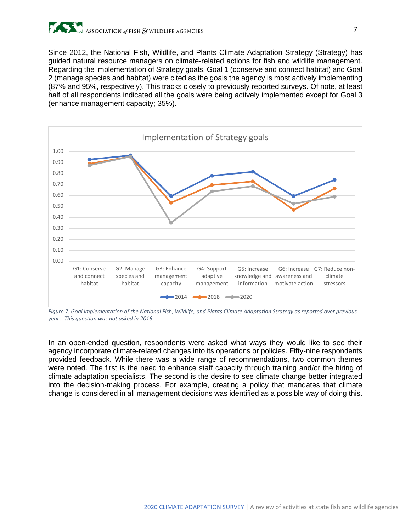

Since 2012, the National Fish, Wildlife, and Plants Climate Adaptation Strategy (Strategy) has guided natural resource managers on climate-related actions for fish and wildlife management. Regarding the implementation of Strategy goals, Goal 1 (conserve and connect habitat) and Goal 2 (manage species and habitat) were cited as the goals the agency is most actively implementing (87% and 95%, respectively). This tracks closely to previously reported surveys. Of note, at least half of all respondents indicated all the goals were being actively implemented except for Goal 3 (enhance management capacity; 35%).



*Figure 7. Goal implementation of the National Fish, Wildlife, and Plants Climate Adaptation Strategy as reported over previous years. This question was not asked in 2016.*

In an open-ended question, respondents were asked what ways they would like to see their agency incorporate climate-related changes into its operations or policies. Fifty-nine respondents provided feedback. While there was a wide range of recommendations, two common themes were noted. The first is the need to enhance staff capacity through training and/or the hiring of climate adaptation specialists. The second is the desire to see climate change better integrated into the decision-making process. For example, creating a policy that mandates that climate change is considered in all management decisions was identified as a possible way of doing this.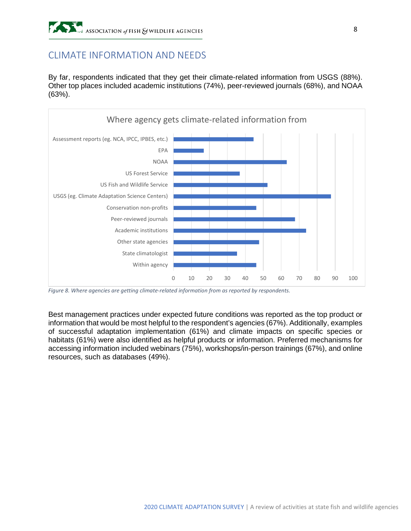# CLIMATE INFORMATION AND NEEDS

By far, respondents indicated that they get their climate-related information from USGS (88%). Other top places included academic institutions (74%), peer-reviewed journals (68%), and NOAA (63%).



*Figure 8. Where agencies are getting climate-related information from as reported by respondents.*

Best management practices under expected future conditions was reported as the top product or information that would be most helpful to the respondent's agencies (67%). Additionally, examples of successful adaptation implementation (61%) and climate impacts on specific species or habitats (61%) were also identified as helpful products or information. Preferred mechanisms for accessing information included webinars (75%), workshops/in-person trainings (67%), and online resources, such as databases (49%).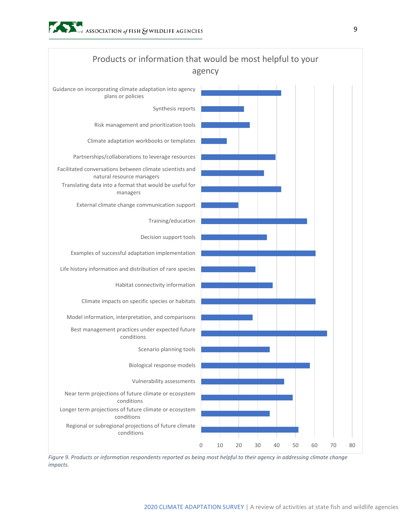

*Figure 9. Products or information respondents reported as being most helpful to their agency in addressing climate change impacts.*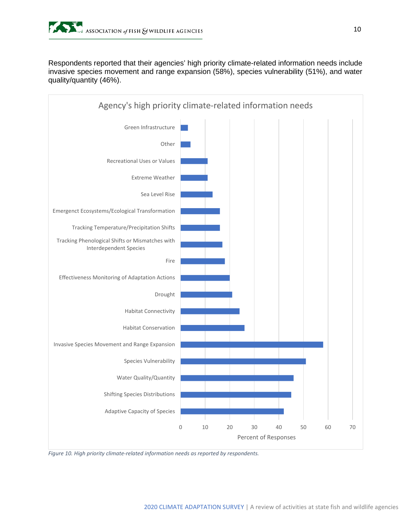Respondents reported that their agencies' high priority climate-related information needs include invasive species movement and range expansion (58%), species vulnerability (51%), and water quality/quantity (46%).



*Figure 10. High priority climate-related information needs as reported by respondents.*